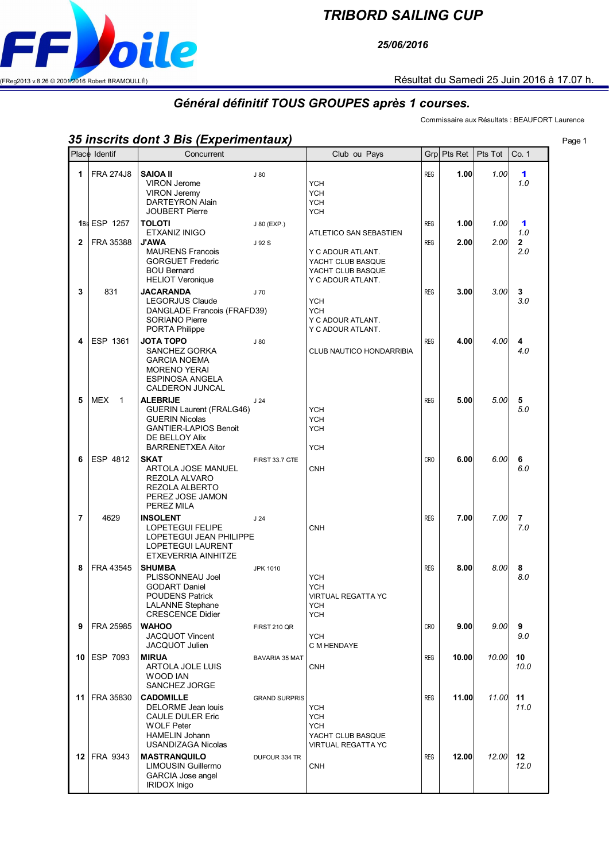

## *TRIBORD SAILING CUP*

*25/06/2016*

## *Général définitif TOUS GROUPES après 1 courses.*

Commissaire aux Résultats : BEAUFORT Laurence

## *35 inscrits dont 3 Bis (Experimentaux)* Page 1

|                | Place Identif              | Concurrent                                                                                                                                                              |                       | Club ou Pays                                                                                                 | Grpl                     | Pts Ret      | Pts Tot      | Co. 1                 |
|----------------|----------------------------|-------------------------------------------------------------------------------------------------------------------------------------------------------------------------|-----------------------|--------------------------------------------------------------------------------------------------------------|--------------------------|--------------|--------------|-----------------------|
| 1              | <b>FRA 274J8</b>           | <b>SAIOA II</b><br><b>VIRON Jerome</b><br><b>VIRON Jeremy</b><br><b>DARTEYRON Alain</b>                                                                                 | J80                   | <b>YCH</b><br><b>YCH</b><br><b>YCH</b>                                                                       | <b>REG</b>               | 1.00         | 1.00         | 1<br>1.0              |
| $\overline{2}$ | 1Bis ESP 1257<br>FRA 35388 | <b>JOUBERT Pierre</b><br><b>TOLOTI</b><br>ETXANIZ INIGO<br><b>J'AWA</b><br><b>MAURENS Francois</b>                                                                      | J 80 (EXP.)<br>J 92 S | <b>YCH</b><br>ATLETICO SAN SEBASTIEN<br>Y C ADOUR ATLANT.                                                    | <b>REG</b><br><b>REG</b> | 1.00<br>2.00 | 1.00<br>2.00 | 1<br>1.0<br>2<br>2.0  |
| 3              | 831                        | <b>GORGUET Frederic</b><br><b>BOU Bernard</b><br><b>HELIOT Veronique</b><br><b>JACARANDA</b><br>LEGORJUS Claude<br>DANGLADE Francois (FRAFD39)<br><b>SORIANO Pierre</b> | J 70                  | YACHT CLUB BASQUE<br>YACHT CLUB BASQUE<br>Y C ADOUR ATLANT.<br><b>YCH</b><br><b>YCH</b><br>Y C ADOUR ATLANT. | <b>REG</b>               | 3.00         | 3.00         | 3<br>3.0              |
| 4              | ESP 1361                   | PORTA Philippe<br><b>JOTA TOPO</b><br>SANCHEZ GORKA<br><b>GARCIA NOEMA</b><br><b>MORENO YERAI</b><br><b>ESPINOSA ANGELA</b><br><b>CALDERON JUNCAL</b>                   | J80                   | Y C ADOUR ATLANT.<br>CLUB NAUTICO HONDARRIBIA                                                                | <b>REG</b>               | 4.00         | 4.00         | 4<br>4.0              |
| 5              | MEX<br>$\overline{1}$      | <b>ALEBRIJE</b><br><b>GUERIN Laurent (FRALG46)</b><br><b>GUERIN Nicolas</b><br><b>GANTIER-LAPIOS Benoit</b><br>DE BELLOY Alix<br><b>BARRENETXEA Aitor</b>               | J <sub>24</sub>       | <b>YCH</b><br><b>YCH</b><br><b>YCH</b><br><b>YCH</b>                                                         | <b>REG</b>               | 5.00         | 5.00         | 5<br>5.0              |
| 6              | ESP 4812                   | <b>SKAT</b><br>ARTOLA JOSE MANUEL<br>REZOLA ALVARO<br>REZOLA ALBERTO<br>PEREZ JOSE JAMON<br>PEREZ MILA                                                                  | FIRST 33.7 GTE        | <b>CNH</b>                                                                                                   | <b>CRO</b>               | 6.00         | 6.00         | 6<br>6.0              |
| 7              | 4629                       | <b>INSOLENT</b><br><b>LOPETEGUI FELIPE</b><br>LOPETEGUI JEAN PHILIPPE<br><b>LOPETEGUI LAURENT</b><br>ETXEVERRIA AINHITZE                                                | J <sub>24</sub>       | <b>CNH</b>                                                                                                   | <b>REG</b>               | 7.00         | 7.00         | $\overline{7}$<br>7.0 |
| 8              | FRA 43545                  | <b>SHUMBA</b><br>PLISSONNEAU Joel<br><b>GODART Daniel</b><br><b>POUDENS Patrick</b><br>LALANNE Stephane<br><b>CRESCENCE Didier</b>                                      | <b>JPK 1010</b>       | <b>YCH</b><br><b>YCH</b><br><b>VIRTUAL REGATTA YC</b><br>YCH<br><b>YCH</b>                                   | <b>REG</b>               | 8.00         | 8.00         | 8<br>8.0              |
| 9              | FRA 25985                  | <b>WAHOO</b><br>JACQUOT Vincent<br>JACQUOT Julien                                                                                                                       | FIRST 210 QR          | YCH<br>C M HENDAYE                                                                                           | CRO                      | 9.00         | 9.00         | 9<br>9.0              |
| 10             | ESP 7093                   | <b>MIRUA</b><br>ARTOLA JOLE LUIS<br><b>WOOD IAN</b><br>SANCHEZ JORGE                                                                                                    | <b>BAVARIA 35 MAT</b> | <b>CNH</b>                                                                                                   | <b>REG</b>               | 10.00        | 10.00        | 10<br>10.0            |
| 11             | FRA 35830                  | <b>CADOMILLE</b><br>DELORME Jean louis<br><b>CAULE DULER Eric</b><br><b>WOLF Peter</b><br><b>HAMELIN Johann</b><br>USANDIZAGA Nicolas                                   | <b>GRAND SURPRIS</b>  | <b>YCH</b><br><b>YCH</b><br><b>YCH</b><br>YACHT CLUB BASQUE<br><b>VIRTUAL REGATTA YC</b>                     | REG                      | 11.00        | 11.00        | 11<br>11.0            |
|                | <b>12 FRA 9343</b>         | <b>MASTRANQUILO</b><br>LIMOUSIN Guillermo<br>GARCIA Jose angel<br><b>IRIDOX Inigo</b>                                                                                   | DUFOUR 334 TR         | <b>CNH</b>                                                                                                   | <b>REG</b>               | 12.00        | 12.00        | $12 \,$<br>12.0       |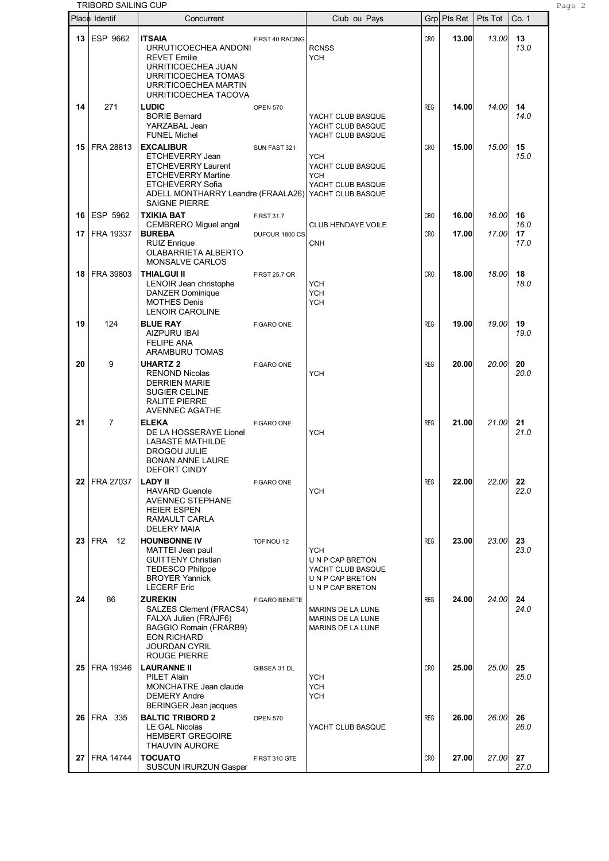|      | TRIBORD SAILING CUP |                                                                                                                                                                                        |                      |                                                                                         |                 |             |         |                    | Page 2 |
|------|---------------------|----------------------------------------------------------------------------------------------------------------------------------------------------------------------------------------|----------------------|-----------------------------------------------------------------------------------------|-----------------|-------------|---------|--------------------|--------|
|      | Place Identif       | Concurrent                                                                                                                                                                             |                      | Club ou Pays                                                                            |                 | Grp Pts Ret | Pts Tot | Co. 1              |        |
|      | 13 ESP 9662         | <b>ITSAIA</b><br>URRUTICOECHEA ANDONI<br><b>REVET Emilie</b><br>URRITICOECHEA JUAN<br>URRITICOECHEA TOMAS<br>URRITICOECHEA MARTIN<br>URRITICOECHEA TACOVA                              | FIRST 40 RACING      | <b>RCNSS</b><br><b>YCH</b>                                                              | CR <sub>O</sub> | 13.00       | 13.00   | 13<br>13.0         |        |
| 14   | 271                 | <b>LUDIC</b><br><b>BORIE Bernard</b><br>YARZABAL Jean<br><b>FUNEL Michel</b>                                                                                                           | <b>OPEN 570</b>      | YACHT CLUB BASQUE<br>YACHT CLUB BASQUE<br>YACHT CLUB BASQUE                             | <b>REG</b>      | 14.00       | 14.00   | 14<br>14.0         |        |
| 15   | FRA 28813           | <b>EXCALIBUR</b><br>ETCHEVERRY Jean<br><b>ETCHEVERRY Laurent</b><br><b>ETCHEVERRY Martine</b><br><b>ETCHEVERRY Sofia</b><br>ADELL MONTHARRY Leandre (FRAALA26)<br><b>SAIGNE PIERRE</b> | SUN FAST 32 I        | YCH<br>YACHT CLUB BASQUE<br><b>YCH</b><br>YACHT CLUB BASQUE<br>YACHT CLUB BASQUE        | CR <sub>O</sub> | 15.00       | 15.00   | 15<br>15.0         |        |
| 16   | ESP 5962            | <b>TXIKIA BAT</b>                                                                                                                                                                      | <b>FIRST 31.7</b>    |                                                                                         | CRO             | 16.00       | 16.00   | 16                 |        |
| 17   | FRA 19337           | CEMBRERO Miguel angel<br><b>BUREBA</b><br><b>RUIZ Enrique</b><br><b>OLABARRIETA ALBERTO</b><br><b>MONSALVE CARLOS</b>                                                                  | DUFOUR 1800 CS       | <b>CLUB HENDAYE VOILE</b><br><b>CNH</b>                                                 | CR <sub>O</sub> | 17.00       | 17.00   | 16.0<br>17<br>17.0 |        |
| 18   | FRA 39803           | <b>THIALGUI II</b><br>LENOIR Jean christophe<br><b>DANZER Dominique</b><br><b>MOTHES Denis</b><br>LENOIR CAROLINE                                                                      | <b>FIRST 25.7 QR</b> | <b>YCH</b><br><b>YCH</b><br><b>YCH</b>                                                  | CR <sub>O</sub> | 18.00       | 18.00   | 18<br>18.0         |        |
| 19   | 124                 | <b>BLUE RAY</b><br>AIZPURU IBAI<br><b>FELIPE ANA</b><br>ARAMBURU TOMAS                                                                                                                 | <b>FIGARO ONE</b>    |                                                                                         | <b>REG</b>      | 19.00       | 19.00   | 19<br>19.0         |        |
| 20   | 9                   | <b>UHARTZ 2</b><br><b>RENOND Nicolas</b><br><b>DERRIEN MARIE</b><br><b>SUGIER CELINE</b><br><b>RALITE PIERRE</b><br>AVENNEC AGATHE                                                     | <b>FIGARO ONE</b>    | <b>YCH</b>                                                                              | <b>REG</b>      | 20.00       | 20.00   | 20<br>20.0         |        |
| 21   | $\overline{7}$      | <b>ELEKA</b><br>DE LA HOSSERAYE Lionel<br>LABASTE MATHILDE<br><b>DROGOU JULIE</b><br><b>BONAN ANNE LAURE</b><br>DEFORT CINDY                                                           | <b>FIGARO ONE</b>    | <b>YCH</b>                                                                              | <b>REG</b>      | 21.00       | 21.00   | 21<br>21.0         |        |
|      | 22 FRA 27037        | <b>LADY II</b><br><b>HAVARD Guenole</b><br><b>AVENNEC STEPHANE</b><br><b>HEIER ESPEN</b><br>RAMAULT CARLA<br><b>DELERY MAIA</b>                                                        | <b>FIGARO ONE</b>    | <b>YCH</b>                                                                              | <b>REG</b>      | 22.00       | 22.00   | 22<br>22.0         |        |
| 23 I | <b>FRA</b><br>- 12  | <b>HOUNBONNE IV</b><br>MATTEI Jean paul<br><b>GUITTENY Christian</b><br><b>TEDESCO Philippe</b><br><b>BROYER Yannick</b><br><b>LECERF Eric</b>                                         | <b>TOFINOU 12</b>    | <b>YCH</b><br>UN P CAP BRETON<br>YACHT CLUB BASQUE<br>UNP CAP BRETON<br>UN P CAP BRETON | <b>REG</b>      | 23.00       | 23.00   | 23<br>23.0         |        |
| 24   | 86                  | <b>ZUREKIN</b><br>SALZES Clement (FRACS4)<br>FALXA Julien (FRAJF6)<br>BAGGIO Romain (FRARB9)<br><b>EON RICHARD</b><br>JOURDAN CYRIL<br>ROUGE PIERRE                                    | <b>FIGARO BENETE</b> | MARINS DE LA LUNE<br>MARINS DE LA LUNE<br>MARINS DE LA LUNE                             | <b>REG</b>      | 24.00       | 24.00   | 24<br>24.0         |        |
| 25   | FRA 19346           | <b>LAURANNE II</b><br>PILET Alain<br>MONCHATRE Jean claude<br><b>DEMERY Andre</b><br>BERINGER Jean jacques                                                                             | GIBSEA 31 DL         | <b>YCH</b><br><b>YCH</b><br><b>YCH</b>                                                  | CR <sub>O</sub> | 25.00       | 25.00   | 25<br>25.0         |        |
| 26 I | <b>FRA 335</b>      | <b>BALTIC TRIBORD 2</b><br><b>LE GAL Nicolas</b><br><b>HEMBERT GREGOIRE</b><br><b>THAUVIN AURORE</b>                                                                                   | <b>OPEN 570</b>      | YACHT CLUB BASQUE                                                                       | <b>REG</b>      | 26.00       | 26.00   | 26<br>26.0         |        |
|      | 27   FRA 14744      | <b>TOCUATO</b><br><b>SUSCUN IRURZUN Gaspar</b>                                                                                                                                         | FIRST 310 GTE        |                                                                                         | CRO             | 27.00       | 27.00   | 27<br>27.0         |        |